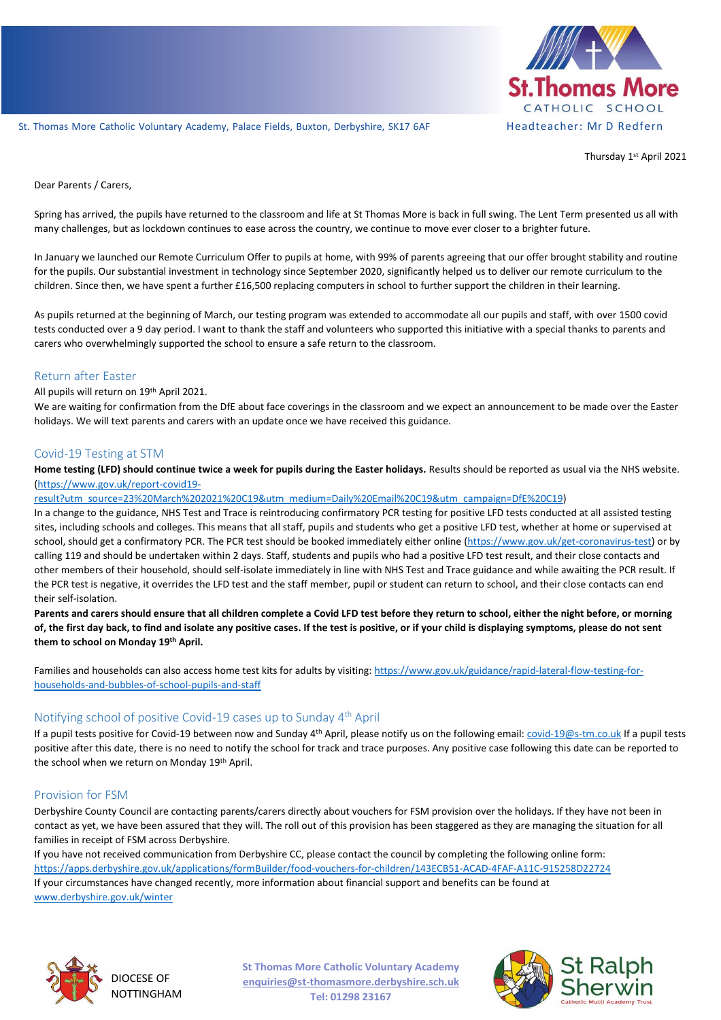

St. Thomas More Catholic Voluntary Academy, Palace Fields, Buxton, Derbyshire, SK17 6AF Headteacher: Mr D Redfern

Thursday 1<sup>st</sup> April 2021

Dear Parents / Carers,

Spring has arrived, the pupils have returned to the classroom and life at St Thomas More is back in full swing. The Lent Term presented us all with many challenges, but as lockdown continues to ease across the country, we continue to move ever closer to a brighter future.

In January we launched our Remote Curriculum Offer to pupils at home, with 99% of parents agreeing that our offer brought stability and routine for the pupils. Our substantial investment in technology since September 2020, significantly helped us to deliver our remote curriculum to the children. Since then, we have spent a further £16,500 replacing computers in school to further support the children in their learning.

As pupils returned at the beginning of March, our testing program was extended to accommodate all our pupils and staff, with over 1500 covid tests conducted over a 9 day period. I want to thank the staff and volunteers who supported this initiative with a special thanks to parents and carers who overwhelmingly supported the school to ensure a safe return to the classroom.

# Return after Easter

All pupils will return on 19th April 2021.

We are waiting for confirmation from the DfE about face coverings in the classroom and we expect an announcement to be made over the Easter holidays. We will text parents and carers with an update once we have received this guidance.

### Covid-19 Testing at STM

**Home testing (LFD) should continue twice a week for pupils during the Easter holidays.** Results should be reported as usual via the NHS website. [\(https://www.gov.uk/report-covid19-](https://www.gov.uk/report-covid19-result?utm_source=23%20March%202021%20C19&utm_medium=Daily%20Email%20C19&utm_campaign=DfE%20C19)

[result?utm\\_source=23%20March%202021%20C19&utm\\_medium=Daily%20Email%20C19&utm\\_campaign=DfE%20C19\)](https://www.gov.uk/report-covid19-result?utm_source=23%20March%202021%20C19&utm_medium=Daily%20Email%20C19&utm_campaign=DfE%20C19)

In a change to the guidance, NHS Test and Trace is reintroducing confirmatory PCR testing for positive LFD tests conducted at all assisted testing sites, including schools and colleges. This means that all staff, pupils and students who get a positive LFD test, whether at home or supervised at school, should get a confirmatory PCR. The PCR test should be booked immediately either online [\(https://www.gov.uk/get-coronavirus-test\)](https://www.gov.uk/get-coronavirus-test) or by calling 119 and should be undertaken within 2 days. Staff, students and pupils who had a positive LFD test result, and their close contacts and other members of their household, should self-isolate immediately in line with NHS Test and Trace guidance and while awaiting the PCR result. If the PCR test is negative, it overrides the LFD test and the staff member, pupil or student can return to school, and their close contacts can end their self-isolation.

**Parents and carers should ensure that all children complete a Covid LFD test before they return to school, either the night before, or morning of, the first day back, to find and isolate any positive cases. If the test is positive, or if your child is displaying symptoms, please do not sent them to school on Monday 19th April.** 

Families and households can also access home test kits for adults by visiting: [https://www.gov.uk/guidance/rapid-lateral-flow-testing-for](https://www.gov.uk/guidance/rapid-lateral-flow-testing-for-households-and-bubbles-of-school-pupils-and-staff)[households-and-bubbles-of-school-pupils-and-staff](https://www.gov.uk/guidance/rapid-lateral-flow-testing-for-households-and-bubbles-of-school-pupils-and-staff)

## Notifying school of positive Covid-19 cases up to Sunday 4<sup>th</sup> April

If a pupil tests positive for Covid-19 between now and Sunday 4<sup>th</sup> April, please notify us on the following email: *covid-19@s-tm.co.uk* If a pupil tests positive after this date, there is no need to notify the school for track and trace purposes. Any positive case following this date can be reported to the school when we return on Monday 19<sup>th</sup> April.

## Provision for FSM

Derbyshire County Council are contacting parents/carers directly about vouchers for FSM provision over the holidays. If they have not been in contact as yet, we have been assured that they will. The roll out of this provision has been staggered as they are managing the situation for all families in receipt of FSM across Derbyshire.

If you have not received communication from Derbyshire CC, please contact the council by completing the following online form: <https://apps.derbyshire.gov.uk/applications/formBuilder/food-vouchers-for-children/143ECB51-ACAD-4FAF-A11C-915258D22724> If your circumstances have changed recently, more information about financial support and benefits can be found at [www.derbyshire.gov.uk/winter](http://www.derbyshire.gov.uk/winter)



DIOCESE OF NOTTINGHAM **St Thomas More Catholic Voluntary Academy enquiries@st-thomasmore.derbyshire.sch.uk Tel: 01298 23167**